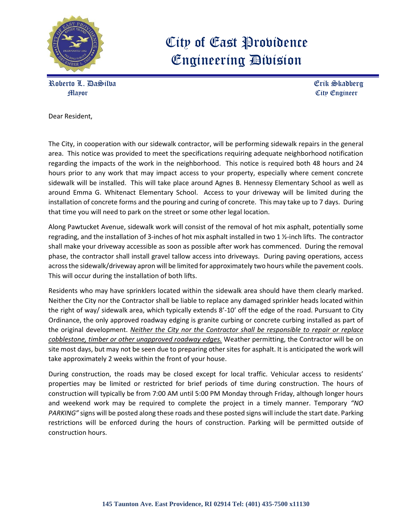

## City of East Providence Engineering Division

Roberto L. DaSilva Erik Skadberg Mayor City Engineer

Dear Resident,

The City, in cooperation with our sidewalk contractor, will be performing sidewalk repairs in the general area. This notice was provided to meet the specifications requiring adequate neighborhood notification regarding the impacts of the work in the neighborhood. This notice is required both 48 hours and 24 hours prior to any work that may impact access to your property, especially where cement concrete sidewalk will be installed. This will take place around Agnes B. Hennessy Elementary School as well as around Emma G. Whitenact Elementary School. Access to your driveway will be limited during the installation of concrete forms and the pouring and curing of concrete. This may take up to 7 days. During that time you will need to park on the street or some other legal location.

Along Pawtucket Avenue, sidewalk work will consist of the removal of hot mix asphalt, potentially some regrading, and the installation of 3-inches of hot mix asphalt installed in two 1 ½-inch lifts. The contractor shall make your driveway accessible as soon as possible after work has commenced. During the removal phase, the contractor shall install gravel tallow access into driveways. During paving operations, access across the sidewalk/driveway apron will be limited for approximately two hours while the pavement cools. This will occur during the installation of both lifts.

Residents who may have sprinklers located within the sidewalk area should have them clearly marked. Neither the City nor the Contractor shall be liable to replace any damaged sprinkler heads located within the right of way/ sidewalk area, which typically extends 8'-10' off the edge of the road. Pursuant to City Ordinance, the only approved roadway edging is granite curbing or concrete curbing installed as part of the original development. *Neither the City nor the Contractor shall be responsible to repair or replace cobblestone, timber or other unapproved roadway edges.* Weather permitting, the Contractor will be on site most days, but may not be seen due to preparing other sites for asphalt. It is anticipated the work will take approximately 2 weeks within the front of your house.

During construction, the roads may be closed except for local traffic. Vehicular access to residents' properties may be limited or restricted for brief periods of time during construction. The hours of construction will typically be from 7:00 AM until 5:00 PM Monday through Friday, although longer hours and weekend work may be required to complete the project in a timely manner. Temporary *"NO PARKING"* signs will be posted along these roads and these posted signs will include the start date. Parking restrictions will be enforced during the hours of construction. Parking will be permitted outside of construction hours.